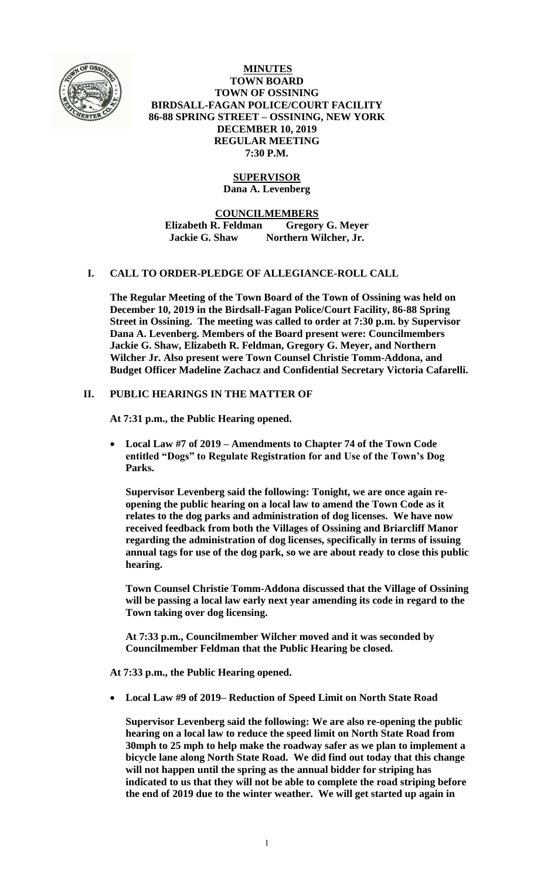

**MINUTES TOWN BOARD TOWN OF OSSINING BIRDSALL-FAGAN POLICE/COURT FACILITY 86-88 SPRING STREET – OSSINING, NEW YORK DECEMBER 10, 2019 REGULAR MEETING 7:30 P.M.**

# **SUPERVISOR**

**Dana A. Levenberg**

**COUNCILMEMBERS**

**Elizabeth R. Feldman Gregory G. Meyer Jackie G. Shaw Northern Wilcher, Jr.**

# **I. CALL TO ORDER-PLEDGE OF ALLEGIANCE-ROLL CALL**

**The Regular Meeting of the Town Board of the Town of Ossining was held on December 10, 2019 in the Birdsall-Fagan Police/Court Facility, 86-88 Spring Street in Ossining. The meeting was called to order at 7:30 p.m. by Supervisor Dana A. Levenberg. Members of the Board present were: Councilmembers Jackie G. Shaw, Elizabeth R. Feldman, Gregory G. Meyer, and Northern Wilcher Jr. Also present were Town Counsel Christie Tomm-Addona, and Budget Officer Madeline Zachacz and Confidential Secretary Victoria Cafarelli.** 

# **II. PUBLIC HEARINGS IN THE MATTER OF**

**At 7:31 p.m., the Public Hearing opened.**

 **Local Law #7 of 2019 – Amendments to Chapter 74 of the Town Code entitled "Dogs" to Regulate Registration for and Use of the Town's Dog Parks.**

**Supervisor Levenberg said the following: Tonight, we are once again reopening the public hearing on a local law to amend the Town Code as it relates to the dog parks and administration of dog licenses. We have now received feedback from both the Villages of Ossining and Briarcliff Manor regarding the administration of dog licenses, specifically in terms of issuing annual tags for use of the dog park, so we are about ready to close this public hearing.** 

**Town Counsel Christie Tomm-Addona discussed that the Village of Ossining will be passing a local law early next year amending its code in regard to the Town taking over dog licensing.** 

**At 7:33 p.m., Councilmember Wilcher moved and it was seconded by Councilmember Feldman that the Public Hearing be closed.**

**At 7:33 p.m., the Public Hearing opened.**

**Local Law #9 of 2019– Reduction of Speed Limit on North State Road**

**Supervisor Levenberg said the following: We are also re-opening the public hearing on a local law to reduce the speed limit on North State Road from 30mph to 25 mph to help make the roadway safer as we plan to implement a bicycle lane along North State Road. We did find out today that this change will not happen until the spring as the annual bidder for striping has indicated to us that they will not be able to complete the road striping before the end of 2019 due to the winter weather. We will get started up again in**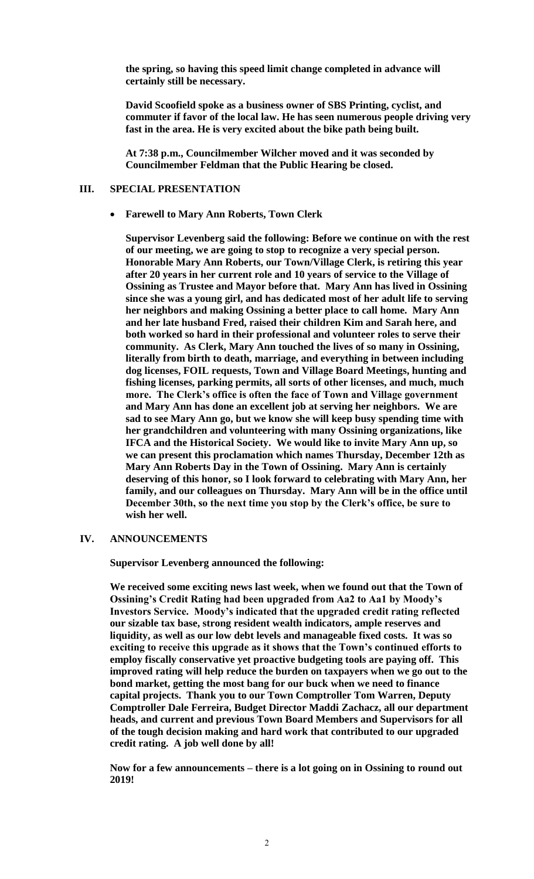**the spring, so having this speed limit change completed in advance will certainly still be necessary.**

**David Scoofield spoke as a business owner of SBS Printing, cyclist, and commuter if favor of the local law. He has seen numerous people driving very fast in the area. He is very excited about the bike path being built.** 

**At 7:38 p.m., Councilmember Wilcher moved and it was seconded by Councilmember Feldman that the Public Hearing be closed.** 

### **III. SPECIAL PRESENTATION**

**Farewell to Mary Ann Roberts, Town Clerk**

**Supervisor Levenberg said the following: Before we continue on with the rest of our meeting, we are going to stop to recognize a very special person. Honorable Mary Ann Roberts, our Town/Village Clerk, is retiring this year after 20 years in her current role and 10 years of service to the Village of Ossining as Trustee and Mayor before that. Mary Ann has lived in Ossining since she was a young girl, and has dedicated most of her adult life to serving her neighbors and making Ossining a better place to call home. Mary Ann and her late husband Fred, raised their children Kim and Sarah here, and both worked so hard in their professional and volunteer roles to serve their community. As Clerk, Mary Ann touched the lives of so many in Ossining, literally from birth to death, marriage, and everything in between including dog licenses, FOIL requests, Town and Village Board Meetings, hunting and fishing licenses, parking permits, all sorts of other licenses, and much, much more. The Clerk's office is often the face of Town and Village government and Mary Ann has done an excellent job at serving her neighbors. We are sad to see Mary Ann go, but we know she will keep busy spending time with her grandchildren and volunteering with many Ossining organizations, like IFCA and the Historical Society. We would like to invite Mary Ann up, so we can present this proclamation which names Thursday, December 12th as Mary Ann Roberts Day in the Town of Ossining. Mary Ann is certainly deserving of this honor, so I look forward to celebrating with Mary Ann, her family, and our colleagues on Thursday. Mary Ann will be in the office until December 30th, so the next time you stop by the Clerk's office, be sure to wish her well.**

#### **IV. ANNOUNCEMENTS**

**Supervisor Levenberg announced the following:**

**We received some exciting news last week, when we found out that the Town of Ossining's Credit Rating had been upgraded from Aa2 to Aa1 by Moody's Investors Service. Moody's indicated that the upgraded credit rating reflected our sizable tax base, strong resident wealth indicators, ample reserves and liquidity, as well as our low debt levels and manageable fixed costs. It was so exciting to receive this upgrade as it shows that the Town's continued efforts to employ fiscally conservative yet proactive budgeting tools are paying off. This improved rating will help reduce the burden on taxpayers when we go out to the bond market, getting the most bang for our buck when we need to finance capital projects. Thank you to our Town Comptroller Tom Warren, Deputy Comptroller Dale Ferreira, Budget Director Maddi Zachacz, all our department heads, and current and previous Town Board Members and Supervisors for all of the tough decision making and hard work that contributed to our upgraded credit rating. A job well done by all!**

**Now for a few announcements – there is a lot going on in Ossining to round out 2019!**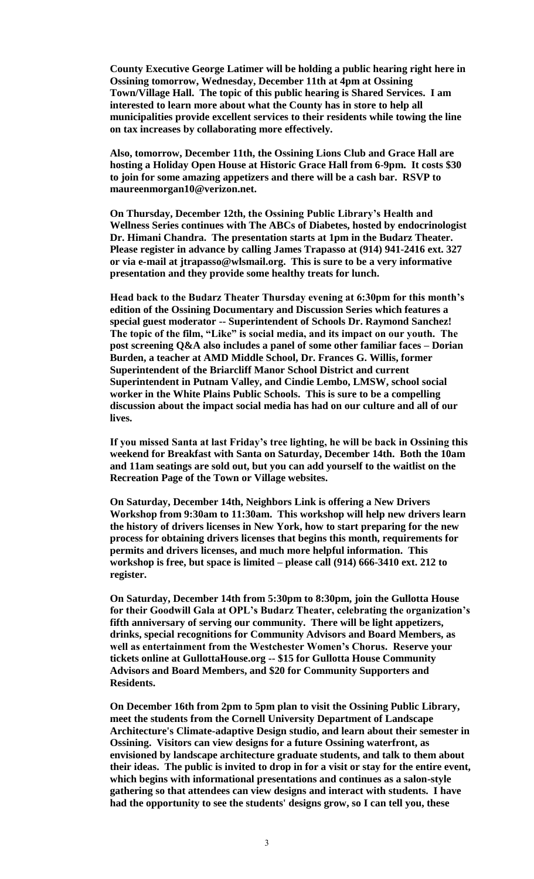**County Executive George Latimer will be holding a public hearing right here in Ossining tomorrow, Wednesday, December 11th at 4pm at Ossining Town/Village Hall. The topic of this public hearing is Shared Services. I am interested to learn more about what the County has in store to help all municipalities provide excellent services to their residents while towing the line on tax increases by collaborating more effectively.**

**Also, tomorrow, December 11th, the Ossining Lions Club and Grace Hall are hosting a Holiday Open House at Historic Grace Hall from 6-9pm. It costs \$30 to join for some amazing appetizers and there will be a cash bar. RSVP to maureenmorgan10@verizon.net.** 

**On Thursday, December 12th, the Ossining Public Library's Health and Wellness Series continues with The ABCs of Diabetes, hosted by endocrinologist Dr. Himani Chandra. The presentation starts at 1pm in the Budarz Theater. Please register in advance by calling James Trapasso at (914) 941-2416 ext. 327 or via e-mail at jtrapasso@wlsmail.org. This is sure to be a very informative presentation and they provide some healthy treats for lunch.** 

**Head back to the Budarz Theater Thursday evening at 6:30pm for this month's edition of the Ossining Documentary and Discussion Series which features a special guest moderator -- Superintendent of Schools Dr. Raymond Sanchez! The topic of the film, "Like" is social media, and its impact on our youth. The post screening Q&A also includes a panel of some other familiar faces – Dorian Burden, a teacher at AMD Middle School, Dr. Frances G. Willis, former Superintendent of the Briarcliff Manor School District and current Superintendent in Putnam Valley, and Cindie Lembo, LMSW, school social worker in the White Plains Public Schools. This is sure to be a compelling discussion about the impact social media has had on our culture and all of our lives.** 

**If you missed Santa at last Friday's tree lighting, he will be back in Ossining this weekend for Breakfast with Santa on Saturday, December 14th. Both the 10am and 11am seatings are sold out, but you can add yourself to the waitlist on the Recreation Page of the Town or Village websites.** 

**On Saturday, December 14th, Neighbors Link is offering a New Drivers Workshop from 9:30am to 11:30am. This workshop will help new drivers learn the history of drivers licenses in New York, how to start preparing for the new process for obtaining drivers licenses that begins this month, requirements for permits and drivers licenses, and much more helpful information. This workshop is free, but space is limited – please call (914) 666-3410 ext. 212 to register.** 

**On Saturday, December 14th from 5:30pm to 8:30pm, join the Gullotta House for their Goodwill Gala at OPL's Budarz Theater, celebrating the organization's fifth anniversary of serving our community. There will be light appetizers, drinks, special recognitions for Community Advisors and Board Members, as well as entertainment from the Westchester Women's Chorus. Reserve your tickets online at GullottaHouse.org -- \$15 for Gullotta House Community Advisors and Board Members, and \$20 for Community Supporters and Residents.**

**On December 16th from 2pm to 5pm plan to visit the Ossining Public Library, meet the students from the Cornell University Department of Landscape Architecture's Climate-adaptive Design studio, and learn about their semester in Ossining. Visitors can view designs for a future Ossining waterfront, as envisioned by landscape architecture graduate students, and talk to them about their ideas. The public is invited to drop in for a visit or stay for the entire event, which begins with informational presentations and continues as a salon-style gathering so that attendees can view designs and interact with students. I have had the opportunity to see the students' designs grow, so I can tell you, these**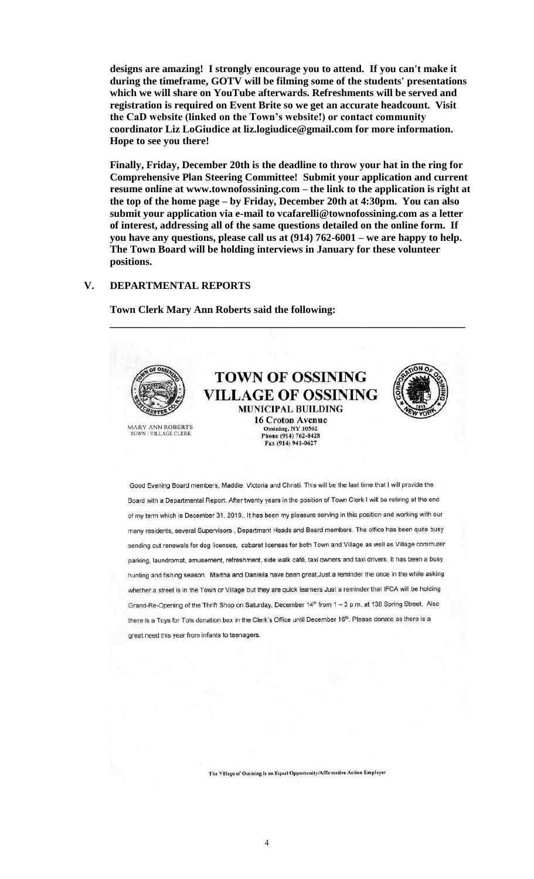**designs are amazing! I strongly encourage you to attend. If you can't make it during the timeframe, GOTV will be filming some of the students' presentations which we will share on YouTube afterwards. Refreshments will be served and registration is required on Event Brite so we get an accurate headcount. Visit the CaD website (linked on the Town's website!) or contact community coordinator Liz LoGiudice at liz.logiudice@gmail.com for more information. Hope to see you there!**

**Finally, Friday, December 20th is the deadline to throw your hat in the ring for Comprehensive Plan Steering Committee! Submit your application and current resume online at www.townofossining.com – the link to the application is right at the top of the home page – by Friday, December 20th at 4:30pm. You can also submit your application via e-mail to vcafarelli@townofossining.com as a letter of interest, addressing all of the same questions detailed on the online form. If you have any questions, please call us at (914) 762-6001 – we are happy to help. The Town Board will be holding interviews in January for these volunteer positions.** 

# **V. DEPARTMENTAL REPORTS**

**Town Clerk Mary Ann Roberts said the following:**





Good Evening Board members, Maddie, Victoria and Christi. This will be the last time that I will provide the Board with a Departmental Report. After twenty years in the position of Town Clerk I will be retiring at the end of my term which is December 31, 2019.. It has been my pleasure serving in this position and working with our many residents, several Supervisors, Department Heads and Board members. The office has been quite busy sending out renewals for dog licenses, cabaret licenses for both Town and Village as well as Village commuter parking, laundromat, amusement, refreshment, side walk café, taxi owners and taxi drivers. It has been a busy hunting and fishing season. Martha and Daniella have been great, Just a reminder the once in the while asking whether a street is in the Town or Village but they are quick learners Just a reminder that IFCA will be holding Grand-Re-Opening of the Thrift Shop on Saturday, December 14<sup>th</sup> from 1 - 3 p.m. at 138 Spring Street. Also there is a Toys for Tots donation box in the Clerk's Office until December 16th. Please donate as there is a great need this year from infants to teenagers.

The Village of Ossining is an Equal Opportunity/Affirmative Action Employer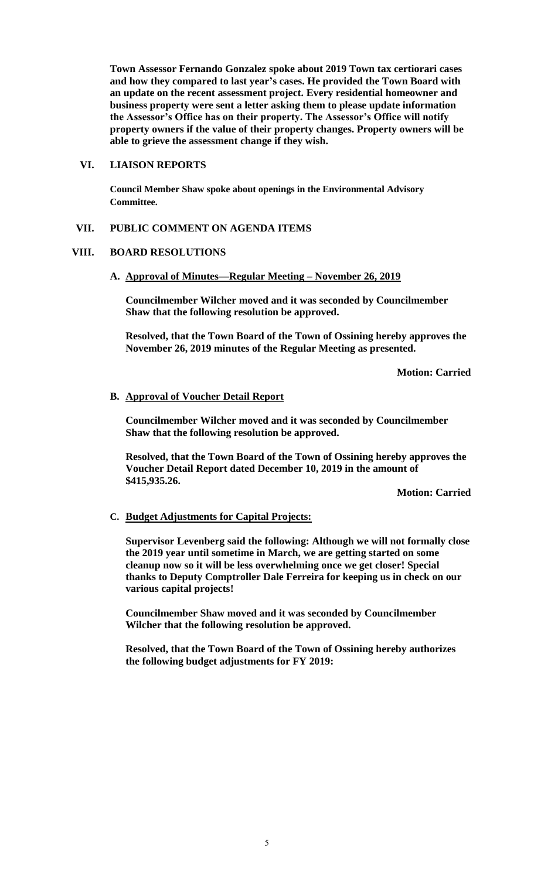**Town Assessor Fernando Gonzalez spoke about 2019 Town tax certiorari cases and how they compared to last year's cases. He provided the Town Board with an update on the recent assessment project. Every residential homeowner and business property were sent a letter asking them to please update information the Assessor's Office has on their property. The Assessor's Office will notify property owners if the value of their property changes. Property owners will be able to grieve the assessment change if they wish.** 

### **VI. LIAISON REPORTS**

**Council Member Shaw spoke about openings in the Environmental Advisory Committee.** 

# **VII. PUBLIC COMMENT ON AGENDA ITEMS**

### **VIII. BOARD RESOLUTIONS**

**A. Approval of Minutes—Regular Meeting – November 26, 2019**

**Councilmember Wilcher moved and it was seconded by Councilmember Shaw that the following resolution be approved.**

**Resolved, that the Town Board of the Town of Ossining hereby approves the November 26, 2019 minutes of the Regular Meeting as presented.**

**Motion: Carried**

# **B. Approval of Voucher Detail Report**

**Councilmember Wilcher moved and it was seconded by Councilmember Shaw that the following resolution be approved.**

**Resolved, that the Town Board of the Town of Ossining hereby approves the Voucher Detail Report dated December 10, 2019 in the amount of \$415,935.26.**

**Motion: Carried**

### **C. Budget Adjustments for Capital Projects:**

**Supervisor Levenberg said the following: Although we will not formally close the 2019 year until sometime in March, we are getting started on some cleanup now so it will be less overwhelming once we get closer! Special thanks to Deputy Comptroller Dale Ferreira for keeping us in check on our various capital projects!**

**Councilmember Shaw moved and it was seconded by Councilmember Wilcher that the following resolution be approved.**

**Resolved, that the Town Board of the Town of Ossining hereby authorizes the following budget adjustments for FY 2019:**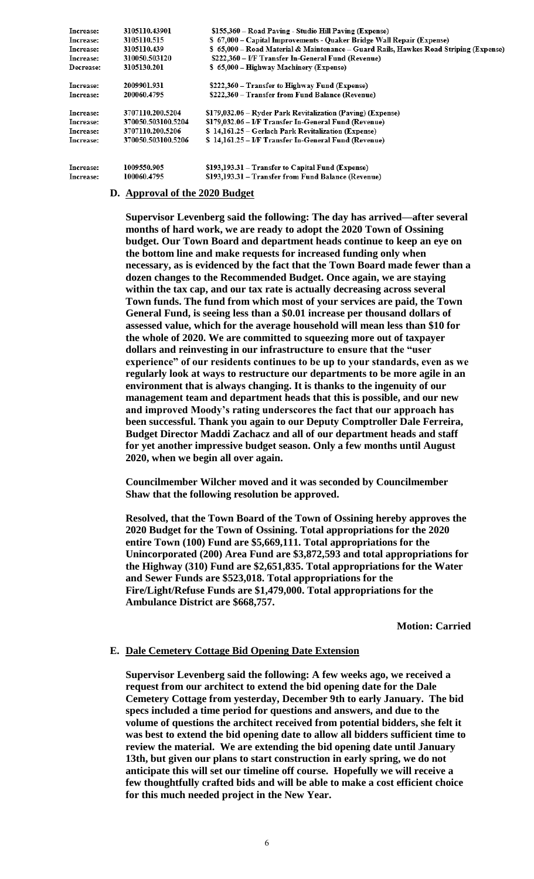| Increase:<br>Increase:<br>Increase:<br>Increase:<br>Decrease: | 3105110.43901<br>3105110.515<br>3105110.439<br>310050.503120<br>3105130.201 | \$155,360 – Road Paving - Studio Hill Paving (Expense)<br>\$ 67,000 – Capital Improvements - Quaker Bridge Wall Repair (Expense)<br>\$ 65,000 - Road Material & Maintenance - Guard Rails, Hawkes Road Striping (Expense)<br>\$222.360 – I/F Transfer In-General Fund (Revenue)<br>\$ 65,000 - Highway Machinery (Expense) |           |                    |                                                             |
|---------------------------------------------------------------|-----------------------------------------------------------------------------|----------------------------------------------------------------------------------------------------------------------------------------------------------------------------------------------------------------------------------------------------------------------------------------------------------------------------|-----------|--------------------|-------------------------------------------------------------|
|                                                               |                                                                             |                                                                                                                                                                                                                                                                                                                            | Increase: | 2009901.931        | \$222,360 – Transfer to Highway Fund (Expense)              |
|                                                               |                                                                             |                                                                                                                                                                                                                                                                                                                            | Increase: | 200060.4795        | \$222,360 – Transfer from Fund Balance (Revenue)            |
|                                                               |                                                                             |                                                                                                                                                                                                                                                                                                                            | Increase: | 3707110.200.5204   | \$179,032.06 – Ryder Park Revitalization (Paving) (Expense) |
|                                                               |                                                                             |                                                                                                                                                                                                                                                                                                                            | Increase: | 370050.503100.5204 | \$179,032.06 - IF Transfer In-General Fund (Revenue)        |
| Increase:                                                     | 3707110.200.5206                                                            | \$14,161.25 – Gerlach Park Revitalization (Expense)                                                                                                                                                                                                                                                                        |           |                    |                                                             |
| Increase:                                                     | 370050.503100.5206                                                          | \$14.161.25 – I/F Transfer In-General Fund (Revenue)                                                                                                                                                                                                                                                                       |           |                    |                                                             |
| Increase:                                                     | 1009550.905                                                                 | \$193,193.31 – Transfer to Capital Fund (Expense)                                                                                                                                                                                                                                                                          |           |                    |                                                             |
| Increase:                                                     | 100060.4795                                                                 | \$193,193.31 – Transfer from Fund Balance (Revenue)                                                                                                                                                                                                                                                                        |           |                    |                                                             |

#### **D. Approval of the 2020 Budget**

**Supervisor Levenberg said the following: The day has arrived—after several months of hard work, we are ready to adopt the 2020 Town of Ossining budget. Our Town Board and department heads continue to keep an eye on the bottom line and make requests for increased funding only when necessary, as is evidenced by the fact that the Town Board made fewer than a dozen changes to the Recommended Budget. Once again, we are staying within the tax cap, and our tax rate is actually decreasing across several Town funds. The fund from which most of your services are paid, the Town General Fund, is seeing less than a \$0.01 increase per thousand dollars of assessed value, which for the average household will mean less than \$10 for the whole of 2020. We are committed to squeezing more out of taxpayer dollars and reinvesting in our infrastructure to ensure that the "user experience" of our residents continues to be up to your standards, even as we regularly look at ways to restructure our departments to be more agile in an environment that is always changing. It is thanks to the ingenuity of our management team and department heads that this is possible, and our new and improved Moody's rating underscores the fact that our approach has been successful. Thank you again to our Deputy Comptroller Dale Ferreira, Budget Director Maddi Zachacz and all of our department heads and staff for yet another impressive budget season. Only a few months until August 2020, when we begin all over again.**

**Councilmember Wilcher moved and it was seconded by Councilmember Shaw that the following resolution be approved.**

**Resolved, that the Town Board of the Town of Ossining hereby approves the 2020 Budget for the Town of Ossining. Total appropriations for the 2020 entire Town (100) Fund are \$5,669,111. Total appropriations for the Unincorporated (200) Area Fund are \$3,872,593 and total appropriations for the Highway (310) Fund are \$2,651,835. Total appropriations for the Water and Sewer Funds are \$523,018. Total appropriations for the Fire/Light/Refuse Funds are \$1,479,000. Total appropriations for the Ambulance District are \$668,757.**

**Motion: Carried**

#### **E. Dale Cemetery Cottage Bid Opening Date Extension**

**Supervisor Levenberg said the following: A few weeks ago, we received a request from our architect to extend the bid opening date for the Dale Cemetery Cottage from yesterday, December 9th to early January. The bid specs included a time period for questions and answers, and due to the volume of questions the architect received from potential bidders, she felt it was best to extend the bid opening date to allow all bidders sufficient time to review the material. We are extending the bid opening date until January 13th, but given our plans to start construction in early spring, we do not anticipate this will set our timeline off course. Hopefully we will receive a few thoughtfully crafted bids and will be able to make a cost efficient choice for this much needed project in the New Year.**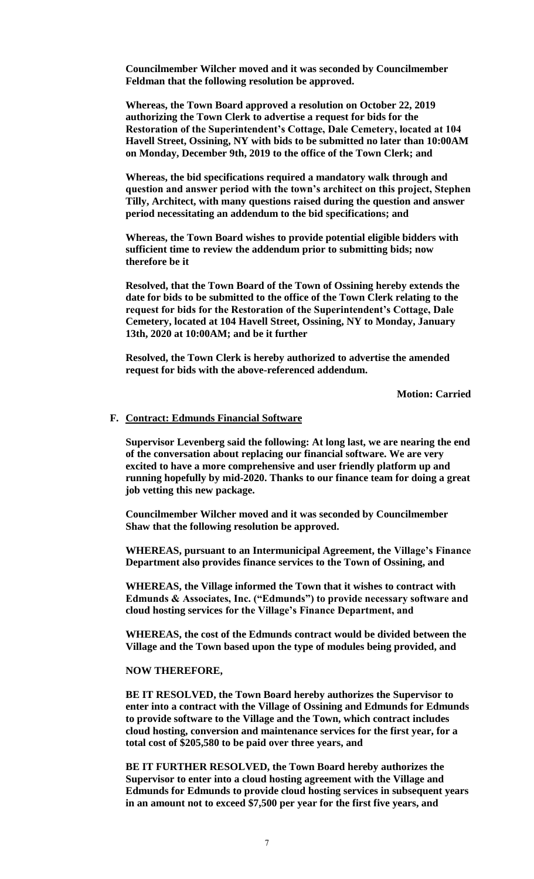**Councilmember Wilcher moved and it was seconded by Councilmember Feldman that the following resolution be approved.**

**Whereas, the Town Board approved a resolution on October 22, 2019 authorizing the Town Clerk to advertise a request for bids for the Restoration of the Superintendent's Cottage, Dale Cemetery, located at 104 Havell Street, Ossining, NY with bids to be submitted no later than 10:00AM on Monday, December 9th, 2019 to the office of the Town Clerk; and**

**Whereas, the bid specifications required a mandatory walk through and question and answer period with the town's architect on this project, Stephen Tilly, Architect, with many questions raised during the question and answer period necessitating an addendum to the bid specifications; and**

**Whereas, the Town Board wishes to provide potential eligible bidders with sufficient time to review the addendum prior to submitting bids; now therefore be it** 

**Resolved, that the Town Board of the Town of Ossining hereby extends the date for bids to be submitted to the office of the Town Clerk relating to the request for bids for the Restoration of the Superintendent's Cottage, Dale Cemetery, located at 104 Havell Street, Ossining, NY to Monday, January 13th, 2020 at 10:00AM; and be it further**

**Resolved, the Town Clerk is hereby authorized to advertise the amended request for bids with the above-referenced addendum.**

**Motion: Carried**

#### **F. Contract: Edmunds Financial Software**

**Supervisor Levenberg said the following: At long last, we are nearing the end of the conversation about replacing our financial software. We are very excited to have a more comprehensive and user friendly platform up and running hopefully by mid-2020. Thanks to our finance team for doing a great job vetting this new package.** 

**Councilmember Wilcher moved and it was seconded by Councilmember Shaw that the following resolution be approved.**

**WHEREAS, pursuant to an Intermunicipal Agreement, the Village's Finance Department also provides finance services to the Town of Ossining, and**

**WHEREAS, the Village informed the Town that it wishes to contract with Edmunds & Associates, Inc. ("Edmunds") to provide necessary software and cloud hosting services for the Village's Finance Department, and**

**WHEREAS, the cost of the Edmunds contract would be divided between the Village and the Town based upon the type of modules being provided, and**

#### **NOW THEREFORE,**

**BE IT RESOLVED, the Town Board hereby authorizes the Supervisor to enter into a contract with the Village of Ossining and Edmunds for Edmunds to provide software to the Village and the Town, which contract includes cloud hosting, conversion and maintenance services for the first year, for a total cost of \$205,580 to be paid over three years, and**

**BE IT FURTHER RESOLVED, the Town Board hereby authorizes the Supervisor to enter into a cloud hosting agreement with the Village and Edmunds for Edmunds to provide cloud hosting services in subsequent years in an amount not to exceed \$7,500 per year for the first five years, and**